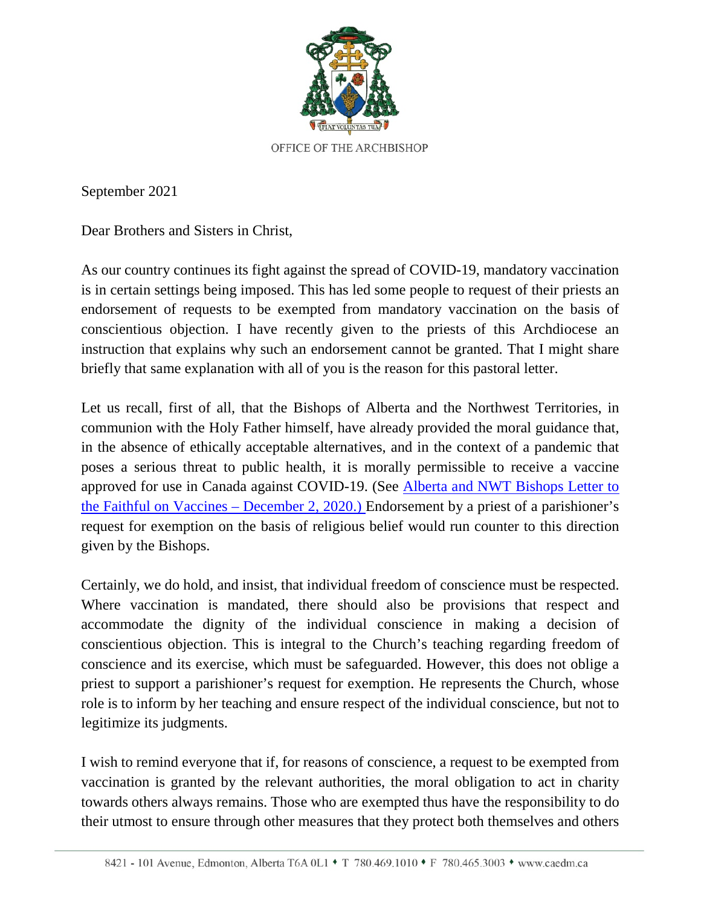

September 2021

Dear Brothers and Sisters in Christ,

As our country continues its fight against the spread of COVID-19, mandatory vaccination is in certain settings being imposed. This has led some people to request of their priests an endorsement of requests to be exempted from mandatory vaccination on the basis of conscientious objection. I have recently given to the priests of this Archdiocese an instruction that explains why such an endorsement cannot be granted. That I might share briefly that same explanation with all of you is the reason for this pastoral letter.

Let us recall, first of all, that the Bishops of Alberta and the Northwest Territories, in communion with the Holy Father himself, have already provided the moral guidance that, in the absence of ethically acceptable alternatives, and in the context of a pandemic that poses a serious threat to public health, it is morally permissible to receive a vaccine approved for use in Canada against COVID-19. (See [Alberta and NWT Bishops Letter to](https://mcusercontent.com/b94c6c43263afb74033548543/files/e954e256-4a36-4044-95fd-685de8fd01bf/2020_11_30_Letter_to_the_faithful_on_Vaccines.pdf)  [the Faithful on Vaccines](https://mcusercontent.com/b94c6c43263afb74033548543/files/e954e256-4a36-4044-95fd-685de8fd01bf/2020_11_30_Letter_to_the_faithful_on_Vaccines.pdf) – December 2, 2020.) Endorsement by a priest of a parishioner's request for exemption on the basis of religious belief would run counter to this direction given by the Bishops.

Certainly, we do hold, and insist, that individual freedom of conscience must be respected. Where vaccination is mandated, there should also be provisions that respect and accommodate the dignity of the individual conscience in making a decision of conscientious objection. This is integral to the Church's teaching regarding freedom of conscience and its exercise, which must be safeguarded. However, this does not oblige a priest to support a parishioner's request for exemption. He represents the Church, whose role is to inform by her teaching and ensure respect of the individual conscience, but not to legitimize its judgments.

I wish to remind everyone that if, for reasons of conscience, a request to be exempted from vaccination is granted by the relevant authorities, the moral obligation to act in charity towards others always remains. Those who are exempted thus have the responsibility to do their utmost to ensure through other measures that they protect both themselves and others